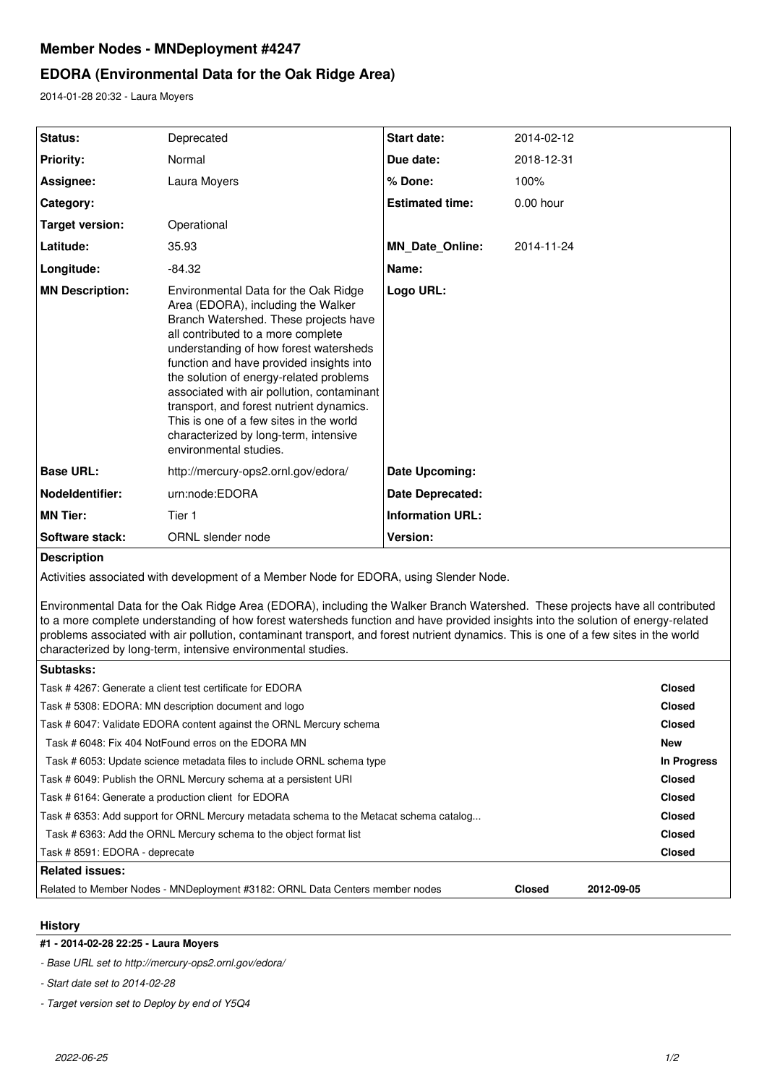# **Member Nodes - MNDeployment #4247**

# **EDORA (Environmental Data for the Oak Ridge Area)**

2014-01-28 20:32 - Laura Moyers

| Status:                | Deprecated                                                                                                                                                                                                                                                                                                                                                                                                                                                                                         | <b>Start date:</b>      | 2014-02-12  |
|------------------------|----------------------------------------------------------------------------------------------------------------------------------------------------------------------------------------------------------------------------------------------------------------------------------------------------------------------------------------------------------------------------------------------------------------------------------------------------------------------------------------------------|-------------------------|-------------|
| <b>Priority:</b>       | Normal                                                                                                                                                                                                                                                                                                                                                                                                                                                                                             | Due date:               | 2018-12-31  |
| Assignee:              | Laura Moyers                                                                                                                                                                                                                                                                                                                                                                                                                                                                                       | % Done:                 | 100%        |
| Category:              |                                                                                                                                                                                                                                                                                                                                                                                                                                                                                                    | <b>Estimated time:</b>  | $0.00$ hour |
| Target version:        | Operational                                                                                                                                                                                                                                                                                                                                                                                                                                                                                        |                         |             |
| Latitude:              | 35.93                                                                                                                                                                                                                                                                                                                                                                                                                                                                                              | <b>MN Date Online:</b>  | 2014-11-24  |
| Longitude:             | $-84.32$                                                                                                                                                                                                                                                                                                                                                                                                                                                                                           | Name:                   |             |
| <b>MN Description:</b> | Environmental Data for the Oak Ridge<br>Area (EDORA), including the Walker<br>Branch Watershed. These projects have<br>all contributed to a more complete<br>understanding of how forest watersheds<br>function and have provided insights into<br>the solution of energy-related problems<br>associated with air pollution, contaminant<br>transport, and forest nutrient dynamics.<br>This is one of a few sites in the world<br>characterized by long-term, intensive<br>environmental studies. | Logo URL:               |             |
| <b>Base URL:</b>       | http://mercury-ops2.ornl.gov/edora/                                                                                                                                                                                                                                                                                                                                                                                                                                                                | Date Upcoming:          |             |
| Nodeldentifier:        | urn:node:EDORA                                                                                                                                                                                                                                                                                                                                                                                                                                                                                     | <b>Date Deprecated:</b> |             |
| <b>MN Tier:</b>        | Tier 1                                                                                                                                                                                                                                                                                                                                                                                                                                                                                             | <b>Information URL:</b> |             |
| Software stack:        | ORNL slender node                                                                                                                                                                                                                                                                                                                                                                                                                                                                                  | Version:                |             |
|                        |                                                                                                                                                                                                                                                                                                                                                                                                                                                                                                    |                         |             |

**Description**

Activities associated with development of a Member Node for EDORA, using Slender Node.

Environmental Data for the Oak Ridge Area (EDORA), including the Walker Branch Watershed. These projects have all contributed to a more complete understanding of how forest watersheds function and have provided insights into the solution of energy-related problems associated with air pollution, contaminant transport, and forest nutrient dynamics. This is one of a few sites in the world characterized by long-term, intensive environmental studies.

| Task #4267: Generate a client test certificate for EDORA<br><b>Closed</b>                                   |             |  |  |
|-------------------------------------------------------------------------------------------------------------|-------------|--|--|
| Task #5308: EDORA: MN description document and logo<br><b>Closed</b>                                        |             |  |  |
| Task #6047: Validate EDORA content against the ORNL Mercury schema                                          |             |  |  |
| Task # 6048: Fix 404 NotFound erros on the EDORA MN                                                         |             |  |  |
| Task # 6053: Update science metadata files to include ORNL schema type                                      | In Progress |  |  |
| Task # 6049: Publish the ORNL Mercury schema at a persistent URI                                            |             |  |  |
| Task # 6164: Generate a production client for EDORA<br><b>Closed</b>                                        |             |  |  |
| Task # 6353: Add support for ORNL Mercury metadata schema to the Metacat schema catalog<br><b>Closed</b>    |             |  |  |
| Task # 6363: Add the ORNL Mercury schema to the object format list<br><b>Closed</b>                         |             |  |  |
| Task #8591: EDORA - deprecate<br><b>Closed</b>                                                              |             |  |  |
| Related issues:                                                                                             |             |  |  |
| Related to Member Nodes - MNDeployment #3182: ORNL Data Centers member nodes<br><b>Closed</b><br>2012-09-05 |             |  |  |

**History**

## **#1 - 2014-02-28 22:25 - Laura Moyers**

*- Base URL set to http://mercury-ops2.ornl.gov/edora/*

*- Start date set to 2014-02-28*

*- Target version set to Deploy by end of Y5Q4*